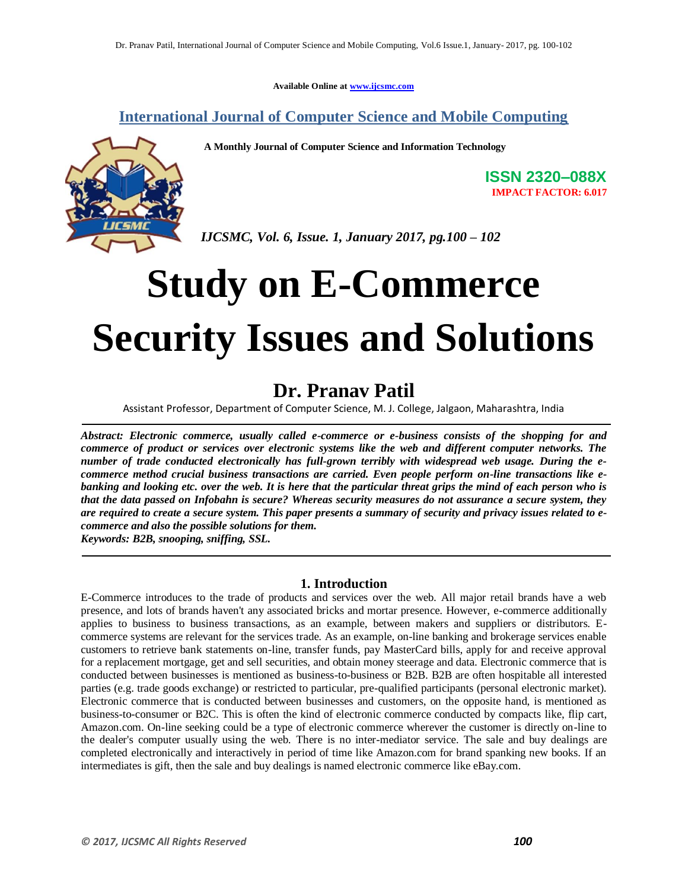**Available Online at www.ijcsmc.com**

**International Journal of Computer Science and Mobile Computing**

 **A Monthly Journal of Computer Science and Information Technology**



**ISSN 2320–088X IMPACT FACTOR: 6.017**

 *IJCSMC, Vol. 6, Issue. 1, January 2017, pg.100 – 102*

# **Study on E-Commerce Security Issues and Solutions**

## **Dr. Pranav Patil**

Assistant Professor, Department of Computer Science, M. J. College, Jalgaon, Maharashtra, India

*Abstract: Electronic commerce, usually called e-commerce or e-business consists of the shopping for and commerce of product or services over electronic systems like the web and different computer networks. The number of trade conducted electronically has full-grown terribly with widespread web usage. During the ecommerce method crucial business transactions are carried. Even people perform on-line transactions like ebanking and looking etc. over the web. It is here that the particular threat grips the mind of each person who is that the data passed on Infobahn is secure? Whereas security measures do not assurance a secure system, they are required to create a secure system. This paper presents a summary of security and privacy issues related to ecommerce and also the possible solutions for them.*

*Keywords: B2B, snooping, sniffing, SSL.*

### **1. Introduction**

E-Commerce introduces to the trade of products and services over the web. All major retail brands have a web presence, and lots of brands haven't any associated bricks and mortar presence. However, e-commerce additionally applies to business to business transactions, as an example, between makers and suppliers or distributors. Ecommerce systems are relevant for the services trade. As an example, on-line banking and brokerage services enable customers to retrieve bank statements on-line, transfer funds, pay MasterCard bills, apply for and receive approval for a replacement mortgage, get and sell securities, and obtain money steerage and data. Electronic commerce that is conducted between businesses is mentioned as business-to-business or B2B. B2B are often hospitable all interested parties (e.g. trade goods exchange) or restricted to particular, pre-qualified participants (personal electronic market). Electronic commerce that is conducted between businesses and customers, on the opposite hand, is mentioned as business-to-consumer or B2C. This is often the kind of electronic commerce conducted by compacts like, flip cart, Amazon.com. On-line seeking could be a type of electronic commerce wherever the customer is directly on-line to the dealer's computer usually using the web. There is no inter-mediator service. The sale and buy dealings are completed electronically and interactively in period of time like Amazon.com for brand spanking new books. If an intermediates is gift, then the sale and buy dealings is named electronic commerce like eBay.com.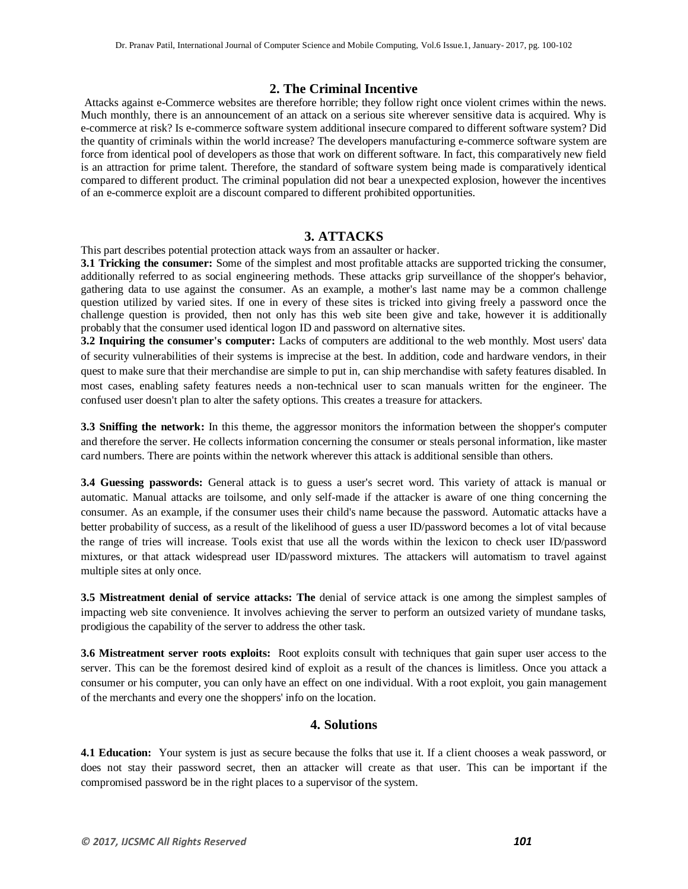#### **2. The Criminal Incentive**

Attacks against e-Commerce websites are therefore horrible; they follow right once violent crimes within the news. Much monthly, there is an announcement of an attack on a serious site wherever sensitive data is acquired. Why is e-commerce at risk? Is e-commerce software system additional insecure compared to different software system? Did the quantity of criminals within the world increase? The developers manufacturing e-commerce software system are force from identical pool of developers as those that work on different software. In fact, this comparatively new field is an attraction for prime talent. Therefore, the standard of software system being made is comparatively identical compared to different product. The criminal population did not bear a unexpected explosion, however the incentives of an e-commerce exploit are a discount compared to different prohibited opportunities.

#### **3. ATTACKS**

This part describes potential protection attack ways from an assaulter or hacker.

**3.1 Tricking the consumer:** Some of the simplest and most profitable attacks are supported tricking the consumer, additionally referred to as social engineering methods. These attacks grip surveillance of the shopper's behavior, gathering data to use against the consumer. As an example, a mother's last name may be a common challenge question utilized by varied sites. If one in every of these sites is tricked into giving freely a password once the challenge question is provided, then not only has this web site been give and take, however it is additionally probably that the consumer used identical logon ID and password on alternative sites.

**3.2 Inquiring the consumer's computer:** Lacks of computers are additional to the web monthly. Most users' data of security vulnerabilities of their systems is imprecise at the best. In addition, code and hardware vendors, in their quest to make sure that their merchandise are simple to put in, can ship merchandise with safety features disabled. In most cases, enabling safety features needs a non-technical user to scan manuals written for the engineer. The confused user doesn't plan to alter the safety options. This creates a treasure for attackers.

**3.3 Sniffing the network:** In this theme, the aggressor monitors the information between the shopper's computer and therefore the server. He collects information concerning the consumer or steals personal information, like master card numbers. There are points within the network wherever this attack is additional sensible than others.

**3.4 Guessing passwords:** General attack is to guess a user's secret word. This variety of attack is manual or automatic. Manual attacks are toilsome, and only self-made if the attacker is aware of one thing concerning the consumer. As an example, if the consumer uses their child's name because the password. Automatic attacks have a better probability of success, as a result of the likelihood of guess a user ID/password becomes a lot of vital because the range of tries will increase. Tools exist that use all the words within the lexicon to check user ID/password mixtures, or that attack widespread user ID/password mixtures. The attackers will automatism to travel against multiple sites at only once.

**3.5 Mistreatment denial of service attacks: The** denial of service attack is one among the simplest samples of impacting web site convenience. It involves achieving the server to perform an outsized variety of mundane tasks, prodigious the capability of the server to address the other task.

**3.6 Mistreatment server roots exploits:** Root exploits consult with techniques that gain super user access to the server. This can be the foremost desired kind of exploit as a result of the chances is limitless. Once you attack a consumer or his computer, you can only have an effect on one individual. With a root exploit, you gain management of the merchants and every one the shoppers' info on the location.

#### **4. Solutions**

**4.1 Education:** Your system is just as secure because the folks that use it. If a client chooses a weak password, or does not stay their password secret, then an attacker will create as that user. This can be important if the compromised password be in the right places to a supervisor of the system.